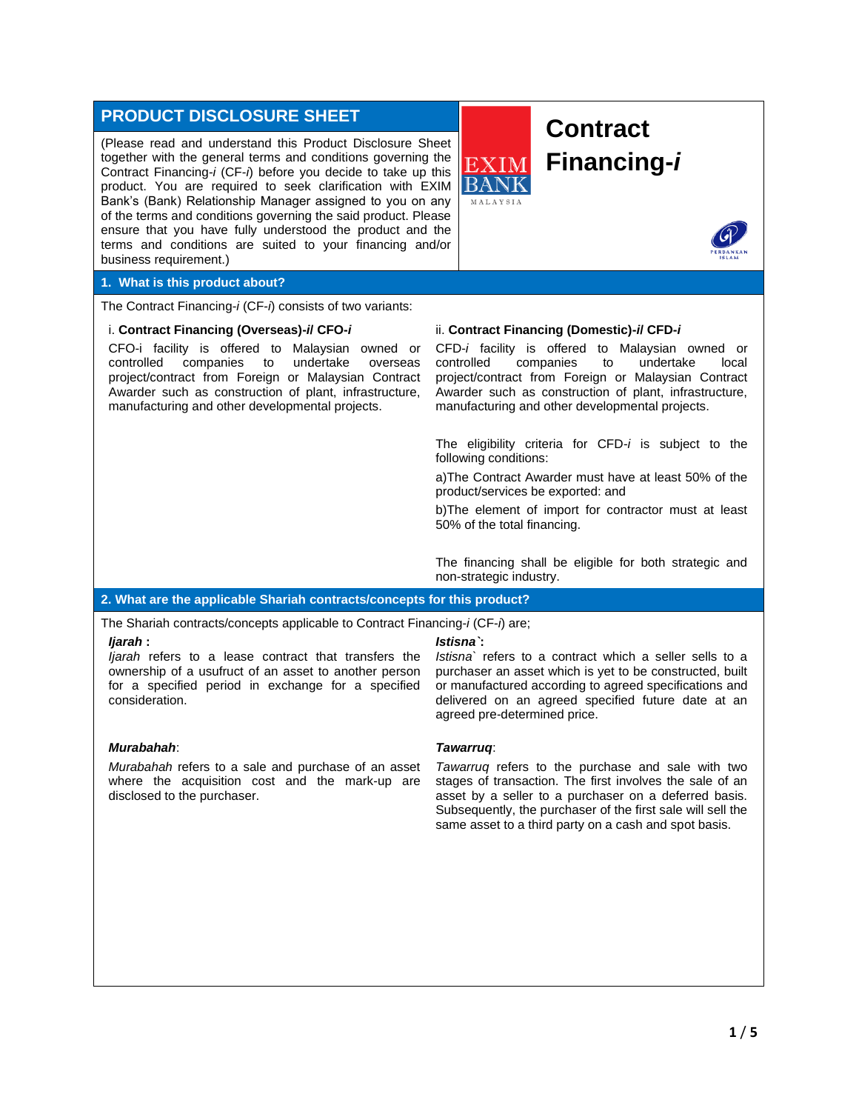# **PRODUCT DISCLOSURE SHEET**

(Please read and understand this Product Disclosure Sheet together with the general terms and conditions governing the Contract Financing-*i* (CF-*i*) before you decide to take up this product. You are required to seek clarification with EXIM Bank's (Bank) Relationship Manager assigned to you on any of the terms and conditions governing the said product. Please ensure that you have fully understood the product and the terms and conditions are suited to your financing and/or business requirement.)





#### **1. What is this product about?**

The Contract Financing-*i* (CF-*i*) consists of two variants:

#### i. **Contract Financing (Overseas)-***i***/ CFO-***i*

CFO-i facility is offered to Malaysian owned or controlled companies to undertake overseas project/contract from Foreign or Malaysian Contract Awarder such as construction of plant, infrastructure, manufacturing and other developmental projects.

#### ii. **Contract Financing (Domestic)-***i***/ CFD-***i*

**MALAVSIA** 

CFD-*i* facility is offered to Malaysian owned or controlled companies to undertake local project/contract from Foreign or Malaysian Contract Awarder such as construction of plant, infrastructure, manufacturing and other developmental projects.

The eligibility criteria for CFD-*i* is subject to the following conditions:

a)The Contract Awarder must have at least 50% of the product/services be exported: and

b)The element of import for contractor must at least 50% of the total financing.

The financing shall be eligible for both strategic and non-strategic industry.

### **2. What are the applicable Shariah contracts/concepts for this product?**

The Shariah contracts/concepts applicable to Contract Financing-*i* (CF-*i*) are;

#### *Ijarah* **:**

*Ijarah* refers to a lease contract that transfers the ownership of a usufruct of an asset to another person for a specified period in exchange for a specified consideration.

#### *Murabahah*:

*Murabahah* refers to a sale and purchase of an asset where the acquisition cost and the mark-up are disclosed to the purchaser.

### *Istisna`***:**

*Istisna`* refers to a contract which a seller sells to a purchaser an asset which is yet to be constructed, built or manufactured according to agreed specifications and delivered on an agreed specified future date at an agreed pre-determined price.

#### *Tawarruq*:

*Tawarruq* refers to the purchase and sale with two stages of transaction. The first involves the sale of an asset by a seller to a purchaser on a deferred basis. Subsequently, the purchaser of the first sale will sell the same asset to a third party on a cash and spot basis.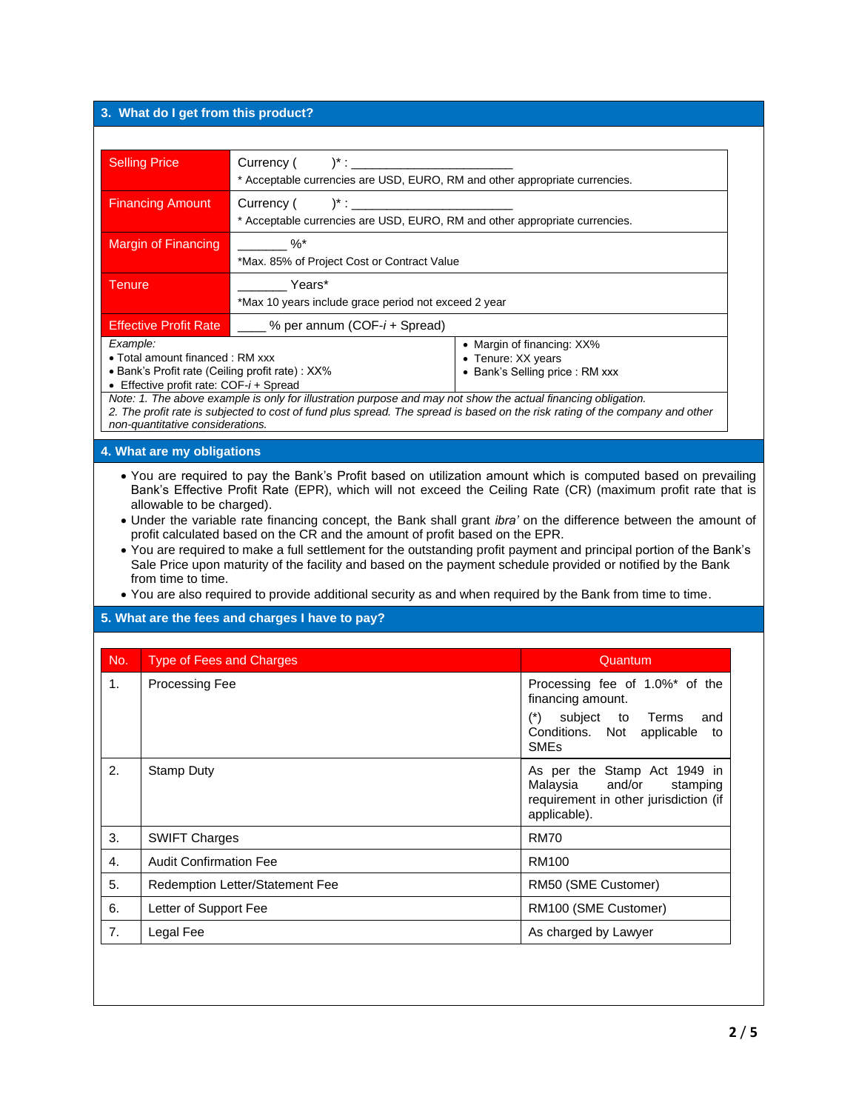## **3. What do I get from this product?**

| <b>Selling Price</b>                                                        | Currency (<br>$)^{*}$ :<br>* Acceptable currencies are USD, EURO, RM and other appropriate currencies. |                                |
|-----------------------------------------------------------------------------|--------------------------------------------------------------------------------------------------------|--------------------------------|
|                                                                             |                                                                                                        |                                |
| <b>Financing Amount</b>                                                     | Currency (<br>$)^{*}$ :                                                                                |                                |
| * Acceptable currencies are USD, EURO, RM and other appropriate currencies. |                                                                                                        |                                |
| $\%$<br>Margin of Financing                                                 |                                                                                                        |                                |
|                                                                             | *Max. 85% of Project Cost or Contract Value                                                            |                                |
| Years*<br>Tenure                                                            |                                                                                                        |                                |
|                                                                             | *Max 10 years include grace period not exceed 2 year                                                   |                                |
| <b>Effective Profit Rate</b>                                                | $\frac{1}{2}$ % per annum (COF- <i>i</i> + Spread)                                                     |                                |
| Example:                                                                    |                                                                                                        | • Margin of financing: XX%     |
| • Total amount financed : RM xxx                                            |                                                                                                        | • Tenure: XX years             |
| • Bank's Profit rate (Ceiling profit rate) : XX%                            |                                                                                                        | • Bank's Selling price: RM xxx |
| • Effective profit rate: $COF-i+Spread$                                     |                                                                                                        |                                |

*non-quantitative considerations.*

#### **4. What are my obligations**

- You are required to pay the Bank's Profit based on utilization amount which is computed based on prevailing Bank's Effective Profit Rate (EPR), which will not exceed the Ceiling Rate (CR) (maximum profit rate that is allowable to be charged).
- Under the variable rate financing concept, the Bank shall grant *ibra'* on the difference between the amount of profit calculated based on the CR and the amount of profit based on the EPR.
- You are required to make a full settlement for the outstanding profit payment and principal portion of the Bank's Sale Price upon maturity of the facility and based on the payment schedule provided or notified by the Bank from time to time.
- You are also required to provide additional security as and when required by the Bank from time to time.

#### **5. What are the fees and charges I have to pay?**

| No.            | <b>Type of Fees and Charges</b> | Quantum                                                                                                                                               |
|----------------|---------------------------------|-------------------------------------------------------------------------------------------------------------------------------------------------------|
| 1 <sub>1</sub> | <b>Processing Fee</b>           | Processing fee of 1.0%* of the<br>financing amount.<br>$(*)$<br>subject to Terms<br>and<br>Conditions. Not applicable<br>to<br><b>SME<sub>s</sub></b> |
| 2.             | <b>Stamp Duty</b>               | As per the Stamp Act 1949 in<br>Malaysia and/or<br>stamping<br>requirement in other jurisdiction (if<br>applicable).                                  |
| 3.             | <b>SWIFT Charges</b>            | <b>RM70</b>                                                                                                                                           |
| $\mathbf{4}$ . | <b>Audit Confirmation Fee</b>   | RM100                                                                                                                                                 |
| 5.             | Redemption Letter/Statement Fee | RM50 (SME Customer)                                                                                                                                   |
| 6.             | Letter of Support Fee           | RM100 (SME Customer)                                                                                                                                  |
| 7.             | Legal Fee                       | As charged by Lawyer                                                                                                                                  |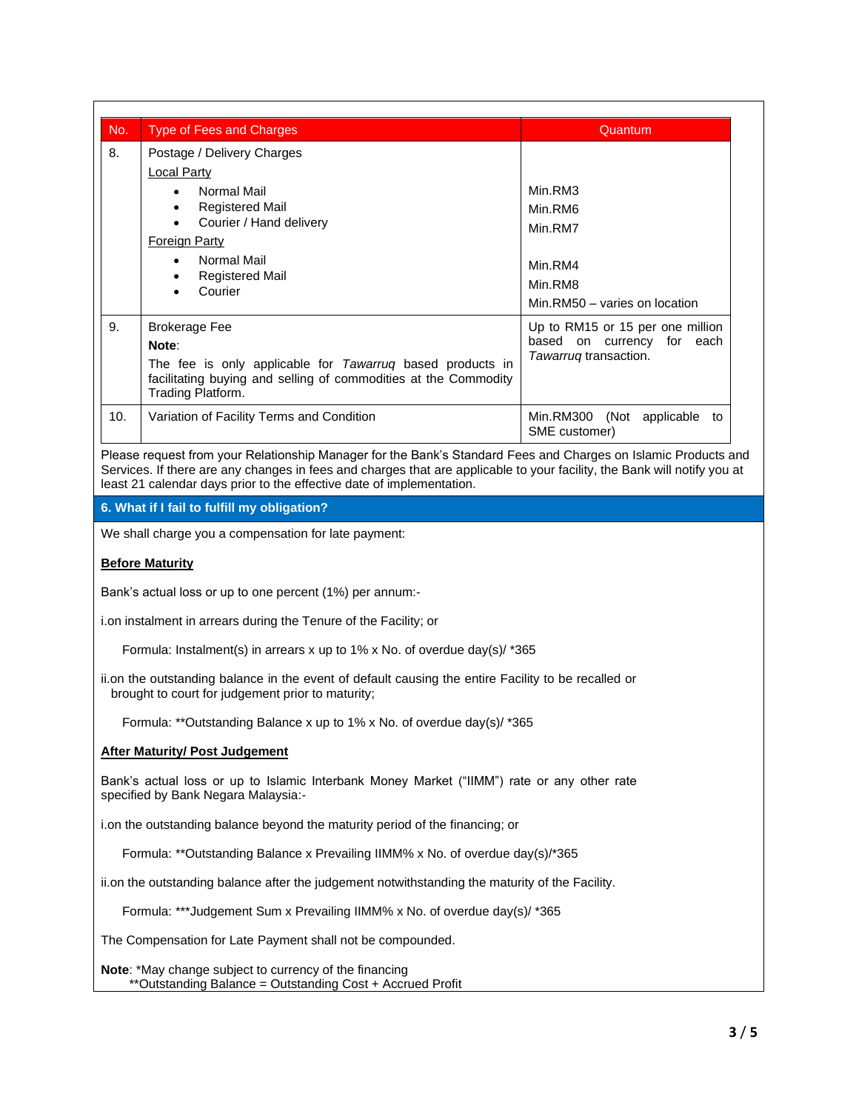| No. | <b>Type of Fees and Charges</b>                                                                                                                                                                                                                     | Quantum                                                                                 |
|-----|-----------------------------------------------------------------------------------------------------------------------------------------------------------------------------------------------------------------------------------------------------|-----------------------------------------------------------------------------------------|
| 8.  | Postage / Delivery Charges<br>Local Party<br>Normal Mail<br>$\bullet$<br><b>Registered Mail</b><br>$\bullet$<br>Courier / Hand delivery<br>$\bullet$<br>Foreign Party<br>Normal Mail<br>$\bullet$<br><b>Registered Mail</b><br>$\bullet$<br>Courier | Min.RM3<br>Min.RM6<br>Min.RM7<br>Min.RM4<br>Min.RM8<br>Min.RM50 - varies on location    |
| 9.  | <b>Brokerage Fee</b><br>Note:<br>The fee is only applicable for Tawarruq based products in<br>facilitating buying and selling of commodities at the Commodity<br>Trading Platform.                                                                  | Up to RM15 or 15 per one million<br>based on currency for each<br>Tawarrug transaction. |
| 10. | Variation of Facility Terms and Condition                                                                                                                                                                                                           | (Not applicable<br>Min.RM300<br>to<br>SME customer)                                     |

Please request from your Relationship Manager for the Bank's Standard Fees and Charges on Islamic Products and Services. If there are any changes in fees and charges that are applicable to your facility, the Bank will notify you at least 21 calendar days prior to the effective date of implementation.

#### **6. What if I fail to fulfill my obligation?**

We shall charge you a compensation for late payment:

#### **Before Maturity**

Bank's actual loss or up to one percent (1%) per annum:-

i.on instalment in arrears during the Tenure of the Facility; or

Formula: Instalment(s) in arrears x up to 1% x No. of overdue day(s)/ \*365

ii.on the outstanding balance in the event of default causing the entire Facility to be recalled or brought to court for judgement prior to maturity;

Formula: \*\*Outstanding Balance x up to 1% x No. of overdue day(s)/ \*365

#### **After Maturity/ Post Judgement**

Bank's actual loss or up to Islamic Interbank Money Market ("IIMM") rate or any other rate specified by Bank Negara Malaysia:-

i.on the outstanding balance beyond the maturity period of the financing; or

Formula: \*\*Outstanding Balance x Prevailing IIMM% x No. of overdue day(s)/\*365

ii.on the outstanding balance after the judgement notwithstanding the maturity of the Facility.

Formula: \*\*\*Judgement Sum x Prevailing IIMM% x No. of overdue day(s)/ \*365

The Compensation for Late Payment shall not be compounded.

**Note**: \*May change subject to currency of the financing \*\*Outstanding Balance = Outstanding Cost + Accrued Profit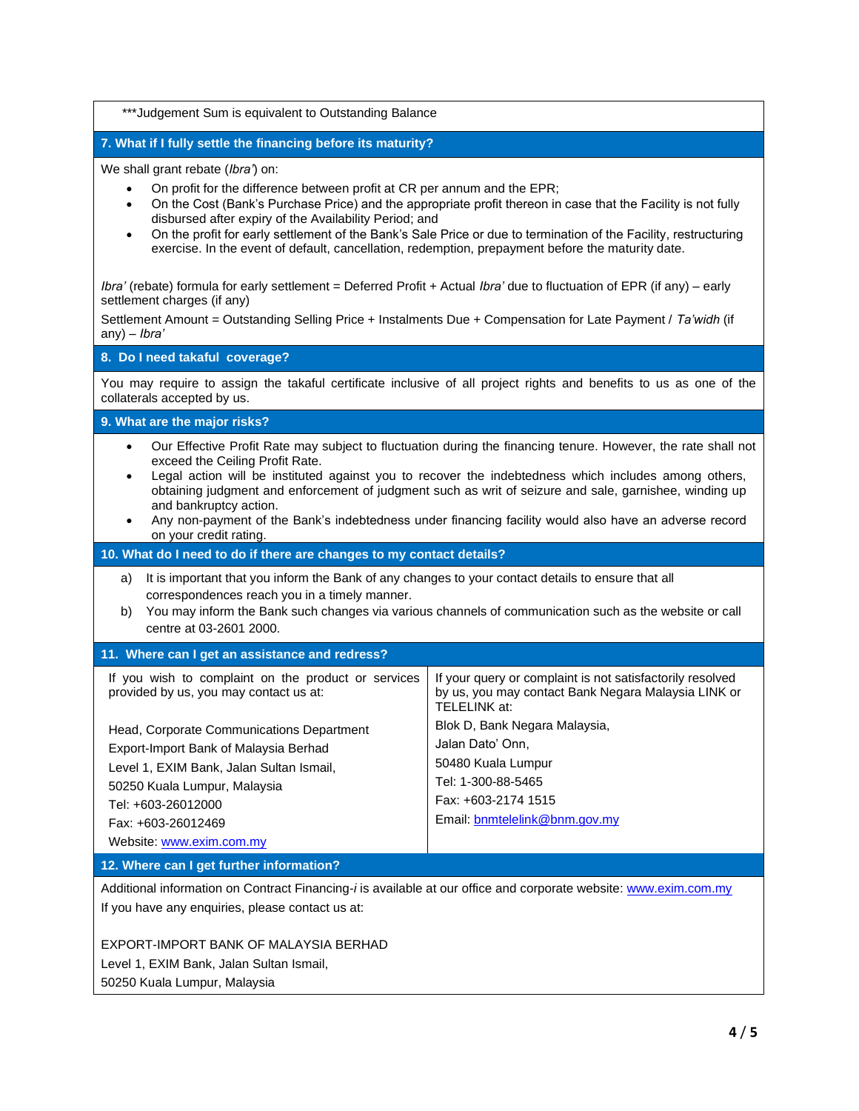\*\*\*Judgement Sum is equivalent to Outstanding Balance

## **7. What if I fully settle the financing before its maturity?**

We shall grant rebate (*Ibra'*) on:

- On profit for the difference between profit at CR per annum and the EPR;
- On the Cost (Bank's Purchase Price) and the appropriate profit thereon in case that the Facility is not fully disbursed after expiry of the Availability Period; and
- On the profit for early settlement of the Bank's Sale Price or due to termination of the Facility, restructuring exercise. In the event of default, cancellation, redemption, prepayment before the maturity date.

*Ibra'* (rebate) formula for early settlement = Deferred Profit + Actual *Ibra'* due to fluctuation of EPR (if any) – early settlement charges (if any)

Settlement Amount = Outstanding Selling Price + Instalments Due + Compensation for Late Payment / *Ta'widh* (if any) – *Ibra'* 

#### **8. Do I need takaful coverage?**

You may require to assign the takaful certificate inclusive of all project rights and benefits to us as one of the collaterals accepted by us.

**9. What are the major risks?**

- Our Effective Profit Rate may subject to fluctuation during the financing tenure. However, the rate shall not exceed the Ceiling Profit Rate.
- Legal action will be instituted against you to recover the indebtedness which includes among others, obtaining judgment and enforcement of judgment such as writ of seizure and sale, garnishee, winding up and bankruptcy action.
- Any non-payment of the Bank's indebtedness under financing facility would also have an adverse record on your credit rating.

#### **10. What do I need to do if there are changes to my contact details?**

- a) It is important that you inform the Bank of any changes to your contact details to ensure that all correspondences reach you in a timely manner.
- b) You may inform the Bank such changes via various channels of communication such as the website or call centre at 03-2601 2000.

#### **11. Where can I get an assistance and redress?**

| If you wish to complaint on the product or services<br>provided by us, you may contact us at:                                                                                                                                          | If your query or complaint is not satisfactorily resolved<br>by us, you may contact Bank Negara Malaysia LINK or<br>TELELINK at:                      |  |  |  |  |
|----------------------------------------------------------------------------------------------------------------------------------------------------------------------------------------------------------------------------------------|-------------------------------------------------------------------------------------------------------------------------------------------------------|--|--|--|--|
| Head, Corporate Communications Department<br>Export-Import Bank of Malaysia Berhad<br>Level 1, EXIM Bank, Jalan Sultan Ismail,<br>50250 Kuala Lumpur, Malaysia<br>Tel: +603-26012000<br>Fax: +603-26012469<br>Website: www.exim.com.my | Blok D, Bank Negara Malaysia,<br>Jalan Dato' Onn,<br>50480 Kuala Lumpur<br>Tel: 1-300-88-5465<br>Fax: +603-2174 1515<br>Email: bnmtelelink@bnm.gov.my |  |  |  |  |
| $\overline{10}$ $\overline{10}$ $\overline{11}$ $\overline{11}$ $\overline{11}$ $\overline{11}$ $\overline{11}$ $\overline{11}$ $\overline{11}$ $\overline{11}$ $\overline{11}$ $\overline{11}$                                        |                                                                                                                                                       |  |  |  |  |

#### **12. Where can I get further information?**

Additional information on Contract Financing-*i* is available at our office and corporate website[: www.exim.com.my](http://www.exim.com.my/) If you have any enquiries, please contact us at:

EXPORT-IMPORT BANK OF MALAYSIA BERHAD Level 1, EXIM Bank, Jalan Sultan Ismail,

50250 Kuala Lumpur, Malaysia